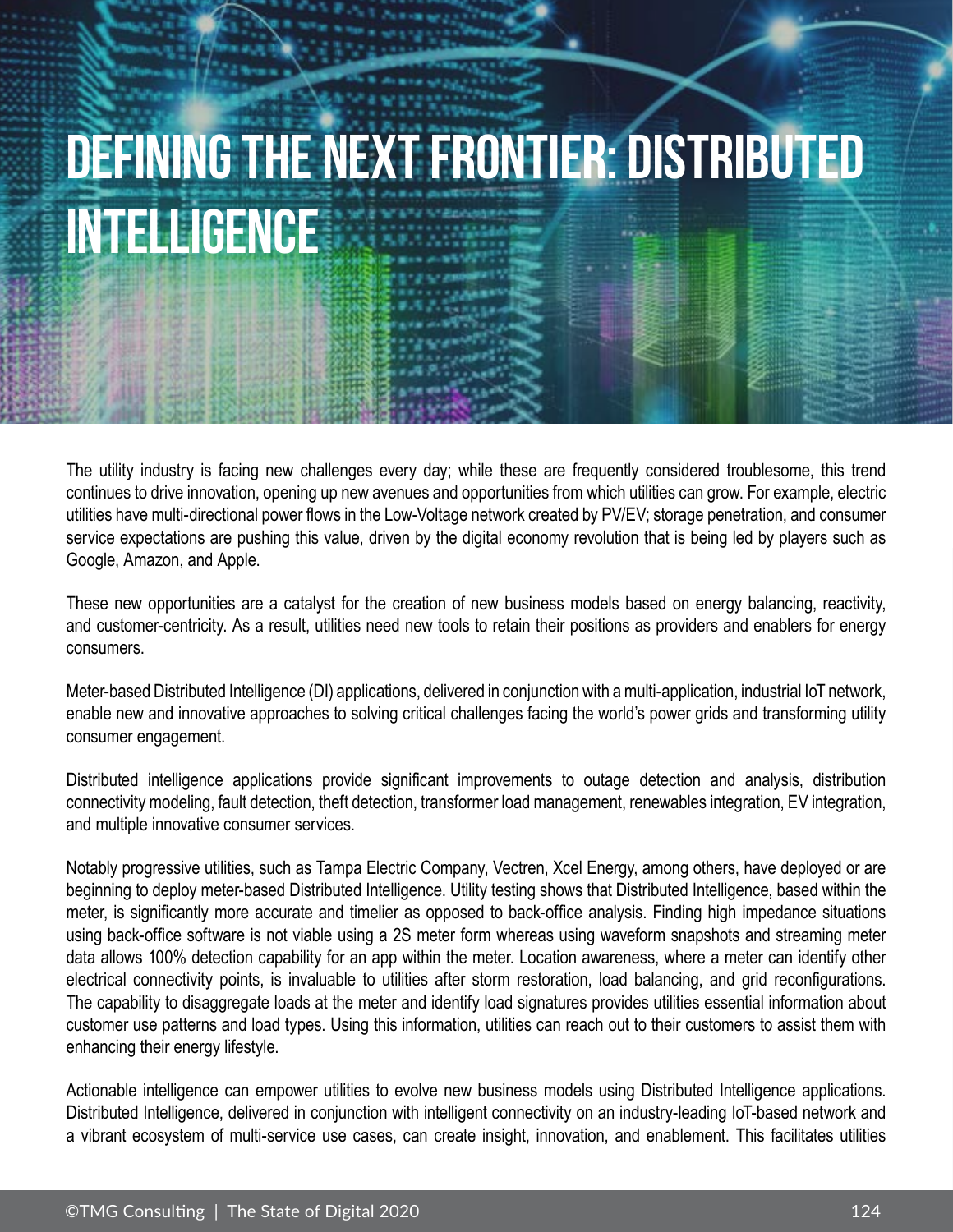## **Defining The Next Frontier: Distributed Intelligence**

The utility industry is facing new challenges every day; while these are frequently considered troublesome, this trend continues to drive innovation, opening up new avenues and opportunities from which utilities can grow. For example, electric utilities have multi-directional power flows in the Low-Voltage network created by PV/EV; storage penetration, and consumer service expectations are pushing this value, driven by the digital economy revolution that is being led by players such as Google, Amazon, and Apple.

These new opportunities are a catalyst for the creation of new business models based on energy balancing, reactivity, and customer-centricity. As a result, utilities need new tools to retain their positions as providers and enablers for energy consumers.

Meter-based Distributed Intelligence (DI) applications, delivered in conjunction with a multi-application, industrial IoT network, enable new and innovative approaches to solving critical challenges facing the world's power grids and transforming utility consumer engagement.

Distributed intelligence applications provide significant improvements to outage detection and analysis, distribution connectivity modeling, fault detection, theft detection, transformer load management, renewables integration, EV integration, and multiple innovative consumer services.

Notably progressive utilities, such as Tampa Electric Company, Vectren, Xcel Energy, among others, have deployed or are beginning to deploy meter-based Distributed Intelligence. Utility testing shows that Distributed Intelligence, based within the meter, is significantly more accurate and timelier as opposed to back-office analysis. Finding high impedance situations using back-office software is not viable using a 2S meter form whereas using waveform snapshots and streaming meter data allows 100% detection capability for an app within the meter. Location awareness, where a meter can identify other electrical connectivity points, is invaluable to utilities after storm restoration, load balancing, and grid reconfigurations. The capability to disaggregate loads at the meter and identify load signatures provides utilities essential information about customer use patterns and load types. Using this information, utilities can reach out to their customers to assist them with enhancing their energy lifestyle.

Actionable intelligence can empower utilities to evolve new business models using Distributed Intelligence applications. Distributed Intelligence, delivered in conjunction with intelligent connectivity on an industry-leading IoT-based network and a vibrant ecosystem of multi-service use cases, can create insight, innovation, and enablement. This facilitates utilities